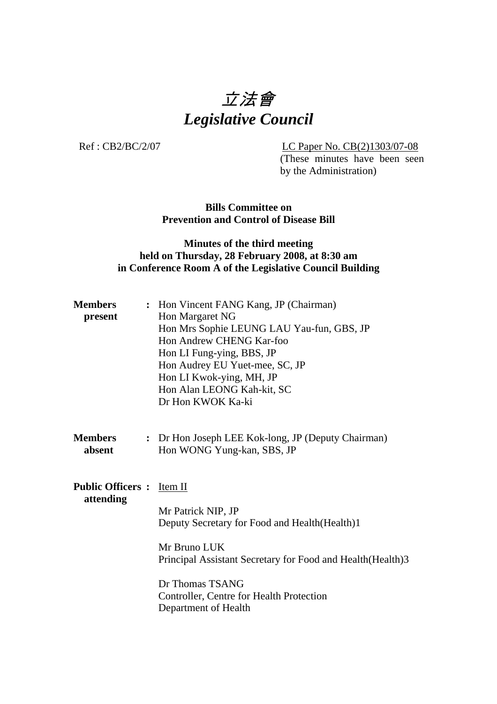# 立法會 *Legislative Council*

Ref : CB2/BC/2/07 LC Paper No. CB(2)1303/07-08

(These minutes have been seen by the Administration)

**Bills Committee on Prevention and Control of Disease Bill** 

## **Minutes of the third meeting held on Thursday, 28 February 2008, at 8:30 am in Conference Room A of the Legislative Council Building**

| <b>Members</b><br>present            | : Hon Vincent FANG Kang, JP (Chairman)<br>Hon Margaret NG<br>Hon Mrs Sophie LEUNG LAU Yau-fun, GBS, JP<br>Hon Andrew CHENG Kar-foo<br>Hon LI Fung-ying, BBS, JP<br>Hon Audrey EU Yuet-mee, SC, JP<br>Hon LI Kwok-ying, MH, JP<br>Hon Alan LEONG Kah-kit, SC<br>Dr Hon KWOK Ka-ki |
|--------------------------------------|----------------------------------------------------------------------------------------------------------------------------------------------------------------------------------------------------------------------------------------------------------------------------------|
| <b>Members</b><br>absent             | : Dr Hon Joseph LEE Kok-long, JP (Deputy Chairman)<br>Hon WONG Yung-kan, SBS, JP                                                                                                                                                                                                 |
| <b>Public Officers:</b><br>attending | Item II<br>Mr Patrick NIP, JP<br>Deputy Secretary for Food and Health (Health)1<br>Mr Bruno LUK<br>Principal Assistant Secretary for Food and Health (Health) 3<br>Dr Thomas TSANG<br>Controller, Centre for Health Protection<br>Department of Health                           |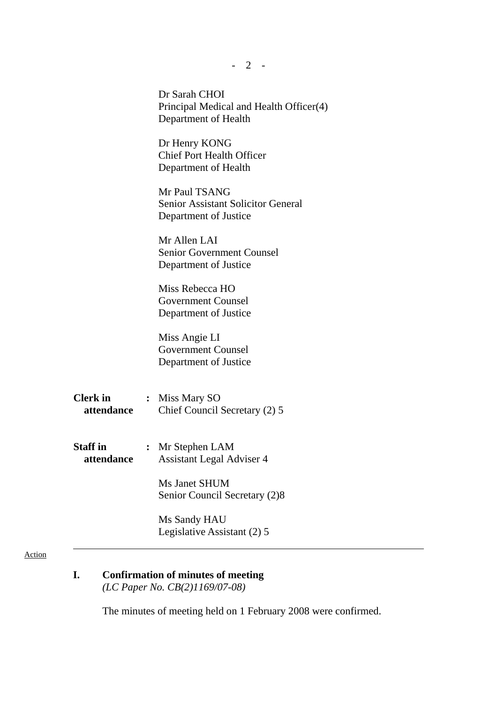|                               | $-2$ -                                                                              |
|-------------------------------|-------------------------------------------------------------------------------------|
|                               | Dr Sarah CHOI<br>Principal Medical and Health Officer(4)<br>Department of Health    |
|                               | Dr Henry KONG<br><b>Chief Port Health Officer</b><br>Department of Health           |
|                               | Mr Paul TSANG<br><b>Senior Assistant Solicitor General</b><br>Department of Justice |
|                               | Mr Allen LAI<br><b>Senior Government Counsel</b><br>Department of Justice           |
|                               | Miss Rebecca HO<br><b>Government Counsel</b><br>Department of Justice               |
|                               | Miss Angie LI<br><b>Government Counsel</b><br>Department of Justice                 |
| <b>Clerk in</b><br>attendance | : Miss Mary SO<br>Chief Council Secretary (2) 5                                     |
| Staff in<br>attendance        | : Mr Stephen LAM<br><b>Assistant Legal Adviser 4</b>                                |
|                               | Ms Janet SHUM<br>Senior Council Secretary (2)8                                      |
|                               | Ms Sandy HAU<br>Legislative Assistant (2) 5                                         |

#### Action

**I. Confirmation of minutes of meeting**   *(LC Paper No. CB(2)1169/07-08)* 

The minutes of meeting held on 1 February 2008 were confirmed.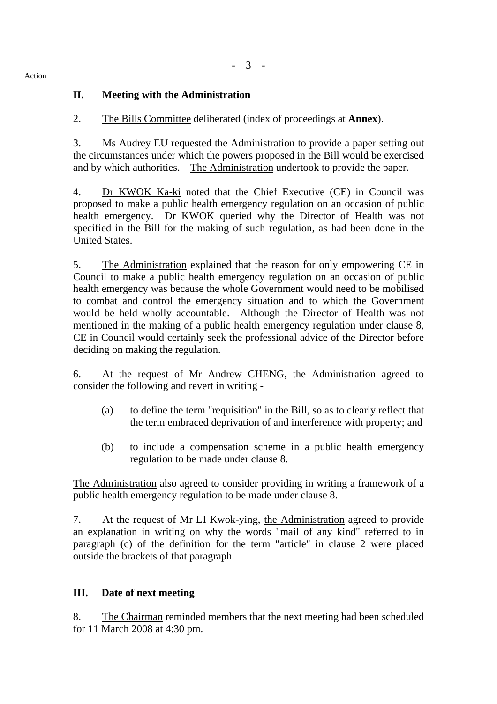# **II. Meeting with the Administration**

2. The Bills Committee deliberated (index of proceedings at **Annex**).

3. Ms Audrey EU requested the Administration to provide a paper setting out the circumstances under which the powers proposed in the Bill would be exercised and by which authorities. The Administration undertook to provide the paper.

 4. Dr KWOK Ka-ki noted that the Chief Executive (CE) in Council was proposed to make a public health emergency regulation on an occasion of public health emergency. Dr KWOK queried why the Director of Health was not specified in the Bill for the making of such regulation, as had been done in the United States.

5. The Administration explained that the reason for only empowering CE in Council to make a public health emergency regulation on an occasion of public health emergency was because the whole Government would need to be mobilised to combat and control the emergency situation and to which the Government would be held wholly accountable. Although the Director of Health was not mentioned in the making of a public health emergency regulation under clause 8, CE in Council would certainly seek the professional advice of the Director before deciding on making the regulation.

6. At the request of Mr Andrew CHENG, the Administration agreed to consider the following and revert in writing -

- (a) to define the term "requisition" in the Bill, so as to clearly reflect that the term embraced deprivation of and interference with property; and
- (b) to include a compensation scheme in a public health emergency regulation to be made under clause 8.

The Administration also agreed to consider providing in writing a framework of a public health emergency regulation to be made under clause 8.

7. At the request of Mr LI Kwok-ying, the Administration agreed to provide an explanation in writing on why the words "mail of any kind" referred to in paragraph (c) of the definition for the term "article" in clause 2 were placed outside the brackets of that paragraph.

### **III. Date of next meeting**

8. The Chairman reminded members that the next meeting had been scheduled for 11 March 2008 at 4:30 pm.

#### Action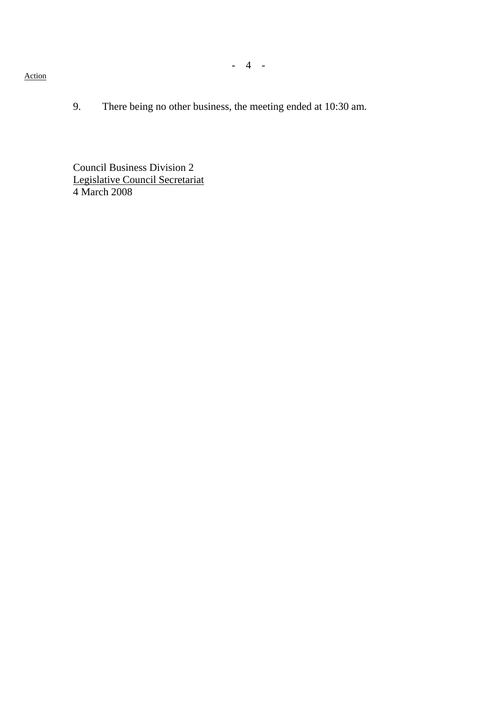- 4 -

#### Action

9. There being no other business, the meeting ended at 10:30 am.

Council Business Division 2 Legislative Council Secretariat 4 March 2008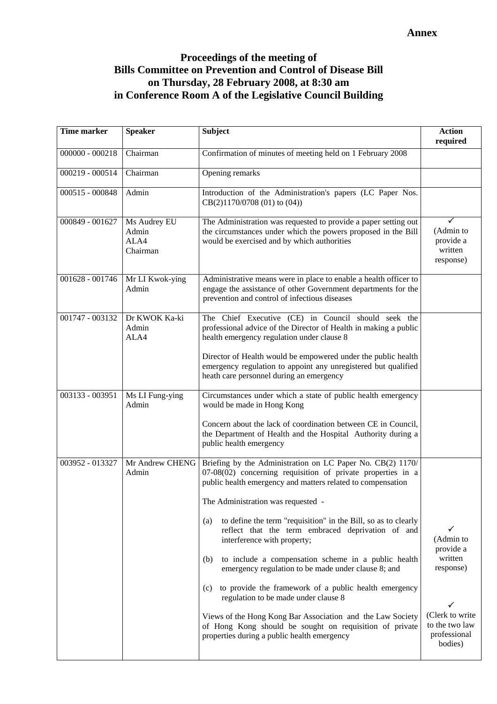## **Proceedings of the meeting of Bills Committee on Prevention and Control of Disease Bill on Thursday, 28 February 2008, at 8:30 am in Conference Room A of the Legislative Council Building**

| <b>Time marker</b> | <b>Speaker</b>                            | <b>Subject</b>                                                                                                                                                                                                                                                                                                                                                                                                                                                                                                                                                                                                                                                                                                                                                                                     | <b>Action</b><br>required                                                                                           |
|--------------------|-------------------------------------------|----------------------------------------------------------------------------------------------------------------------------------------------------------------------------------------------------------------------------------------------------------------------------------------------------------------------------------------------------------------------------------------------------------------------------------------------------------------------------------------------------------------------------------------------------------------------------------------------------------------------------------------------------------------------------------------------------------------------------------------------------------------------------------------------------|---------------------------------------------------------------------------------------------------------------------|
| $000000 - 000218$  | Chairman                                  | Confirmation of minutes of meeting held on 1 February 2008                                                                                                                                                                                                                                                                                                                                                                                                                                                                                                                                                                                                                                                                                                                                         |                                                                                                                     |
| 000219 - 000514    | Chairman                                  | Opening remarks                                                                                                                                                                                                                                                                                                                                                                                                                                                                                                                                                                                                                                                                                                                                                                                    |                                                                                                                     |
| 000515 - 000848    | Admin                                     | Introduction of the Administration's papers (LC Paper Nos.<br>CB(2)1170/0708 (01) to (04))                                                                                                                                                                                                                                                                                                                                                                                                                                                                                                                                                                                                                                                                                                         |                                                                                                                     |
| 000849 - 001627    | Ms Audrey EU<br>Admin<br>ALA4<br>Chairman | The Administration was requested to provide a paper setting out<br>the circumstances under which the powers proposed in the Bill<br>would be exercised and by which authorities                                                                                                                                                                                                                                                                                                                                                                                                                                                                                                                                                                                                                    | (Admin to<br>provide a<br>written<br>response)                                                                      |
| 001628 - 001746    | Mr LI Kwok-ying<br>Admin                  | Administrative means were in place to enable a health officer to<br>engage the assistance of other Government departments for the<br>prevention and control of infectious diseases                                                                                                                                                                                                                                                                                                                                                                                                                                                                                                                                                                                                                 |                                                                                                                     |
| 001747 - 003132    | Dr KWOK Ka-ki<br>Admin<br>ALA4            | The Chief Executive (CE) in Council should seek the<br>professional advice of the Director of Health in making a public<br>health emergency regulation under clause 8                                                                                                                                                                                                                                                                                                                                                                                                                                                                                                                                                                                                                              |                                                                                                                     |
|                    |                                           | Director of Health would be empowered under the public health<br>emergency regulation to appoint any unregistered but qualified<br>heath care personnel during an emergency                                                                                                                                                                                                                                                                                                                                                                                                                                                                                                                                                                                                                        |                                                                                                                     |
| 003133 - 003951    | Ms LI Fung-ying<br>Admin                  | Circumstances under which a state of public health emergency<br>would be made in Hong Kong<br>Concern about the lack of coordination between CE in Council,<br>the Department of Health and the Hospital Authority during a<br>public health emergency                                                                                                                                                                                                                                                                                                                                                                                                                                                                                                                                             |                                                                                                                     |
| 003952 - 013327    | Mr Andrew CHENG<br>Admin                  | Briefing by the Administration on LC Paper No. CB(2) 1170/<br>$07-08(02)$ concerning requisition of private properties in a<br>public health emergency and matters related to compensation<br>The Administration was requested -<br>to define the term "requisition" in the Bill, so as to clearly<br>(a)<br>reflect that the term embraced deprivation of and<br>interference with property;<br>to include a compensation scheme in a public health<br>(b)<br>emergency regulation to be made under clause 8; and<br>to provide the framework of a public health emergency<br>(c)<br>regulation to be made under clause 8<br>Views of the Hong Kong Bar Association and the Law Society<br>of Hong Kong should be sought on requisition of private<br>properties during a public health emergency | ✓<br>(Admin to<br>provide a<br>written<br>response)<br>(Clerk to write<br>to the two law<br>professional<br>bodies) |